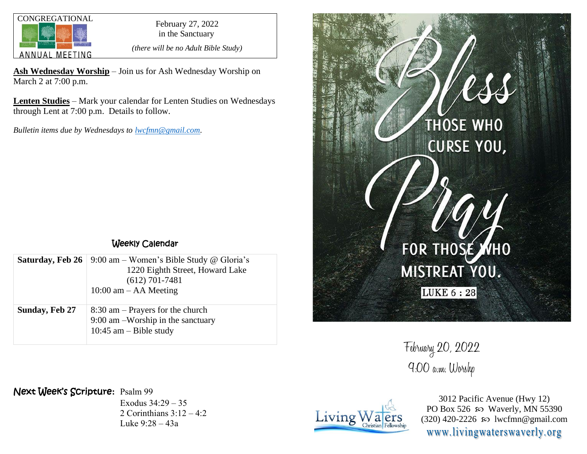

in the Sanctuary

*(there will be no Adult Bible Study)*

**Ash Wednesday Worship** – Join us for Ash Wednesday Worship on March 2 at 7:00 p.m.

**Lenten Studies** – Mark your calendar for Lenten Studies on Wednesdays through Lent at 7:00 p.m. Details to follow.

*Bulletin items due by Wednesdays to [lwcfmn@gmail.com.](mailto:lwcfmn@gmail.com)*

## Weekly Calendar

| Saturday, Feb 26      | 9:00 am – Women's Bible Study @ Gloria's<br>1220 Eighth Street, Howard Lake<br>$(612)$ 701-7481<br>$10:00$ am $-$ AA Meeting |
|-----------------------|------------------------------------------------------------------------------------------------------------------------------|
| <b>Sunday, Feb 27</b> | $8:30$ am – Prayers for the church<br>$9:00$ am $-Worship$ in the sanctuary<br>10:45 am $-$ Bible study                      |

## Next Week's Scripture**:** Psalm 99

Exodus 34:29 – 35 2 Corinthians 3:12 – 4:2 Luke 9:28 – 43a



February 20, 2022 9:00 a.m. Worshp



3012 Pacific Avenue (Hwy 12) PO Box 526  $\wp$  Waverly, MN 55390 (320) 420-2226 so lwcfmn@gmail.com www.livingwaterswaverly.org